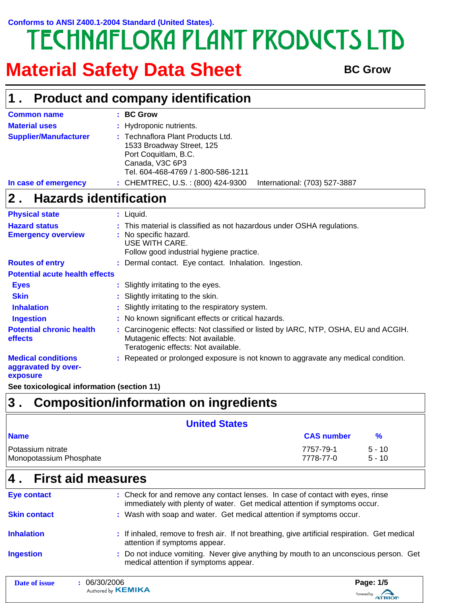# Conforms to ANSI Z400.1-2004 Standard (United States).<br>
TECHNAFLORA PLANT PRODUCTS LTD

## **Material Safety Data Sheet** BC Grow

|                                                              | <b>Product and company identification</b>                                                                                                                      |
|--------------------------------------------------------------|----------------------------------------------------------------------------------------------------------------------------------------------------------------|
| <b>Common name</b>                                           | : BC Grow                                                                                                                                                      |
| <b>Material uses</b>                                         | : Hydroponic nutrients.                                                                                                                                        |
| <b>Supplier/Manufacturer</b>                                 | : Technaflora Plant Products Ltd.<br>1533 Broadway Street, 125<br>Port Coquitlam, B.C.<br>Canada, V3C 6P3<br>Tel. 604-468-4769 / 1-800-586-1211                |
| In case of emergency                                         | : CHEMTREC, U.S. : (800) 424-9300<br>International: (703) 527-3887                                                                                             |
| <b>Hazards identification</b><br>2.                          |                                                                                                                                                                |
| <b>Physical state</b>                                        | : Liquid.                                                                                                                                                      |
| <b>Hazard status</b>                                         | This material is classified as not hazardous under OSHA regulations.                                                                                           |
| <b>Emergency overview</b>                                    | : No specific hazard.<br>USE WITH CARE.<br>Follow good industrial hygiene practice.                                                                            |
| <b>Routes of entry</b>                                       | : Dermal contact. Eye contact. Inhalation. Ingestion.                                                                                                          |
| <b>Potential acute health effects</b>                        |                                                                                                                                                                |
| <b>Eyes</b>                                                  | : Slightly irritating to the eyes.                                                                                                                             |
| <b>Skin</b>                                                  | Slightly irritating to the skin.                                                                                                                               |
| <b>Inhalation</b>                                            | : Slightly irritating to the respiratory system.                                                                                                               |
| <b>Ingestion</b>                                             | : No known significant effects or critical hazards.                                                                                                            |
| <b>Potential chronic health</b><br>effects                   | : Carcinogenic effects: Not classified or listed by IARC, NTP, OSHA, EU and ACGIH.<br>Mutagenic effects: Not available.<br>Teratogenic effects: Not available. |
| <b>Medical conditions</b><br>aggravated by over-<br>exposure | : Repeated or prolonged exposure is not known to aggravate any medical condition.                                                                              |
| See toxicological information (section 11)                   |                                                                                                                                                                |
| 3.                                                           | <b>Composition/information on ingredients</b>                                                                                                                  |

|                                              | <b>United States</b>                                                           |                        |                      |  |
|----------------------------------------------|--------------------------------------------------------------------------------|------------------------|----------------------|--|
| <b>Name</b>                                  |                                                                                | <b>CAS number</b>      | $\frac{9}{6}$        |  |
| Potassium nitrate<br>Monopotassium Phosphate |                                                                                | 7757-79-1<br>7778-77-0 | $5 - 10$<br>$5 - 10$ |  |
| $ 4$ . First aid measures                    |                                                                                |                        |                      |  |
| <b>Eye contact</b>                           | : Check for and remove any contact lenses. In case of contact with eyes, rinse |                        |                      |  |

|                     | 000000000                             | $D = 4E$                                                                                                                                                     |
|---------------------|---------------------------------------|--------------------------------------------------------------------------------------------------------------------------------------------------------------|
| <b>Ingestion</b>    | medical attention if symptoms appear. | : Do not induce vomiting. Never give anything by mouth to an unconscious person. Get                                                                         |
| <b>Inhalation</b>   | attention if symptoms appear.         | : If inhaled, remove to fresh air. If not breathing, give artificial respiration. Get medical                                                                |
| <b>Skin contact</b> |                                       | : Wash with soap and water. Get medical attention if symptoms occur.                                                                                         |
| <b>EVE CONTACT</b>  |                                       | . Crieck for and femove any contact lenses. In case of contact with eyes, mise<br>immediately with plenty of water. Get medical attention if symptoms occur. |

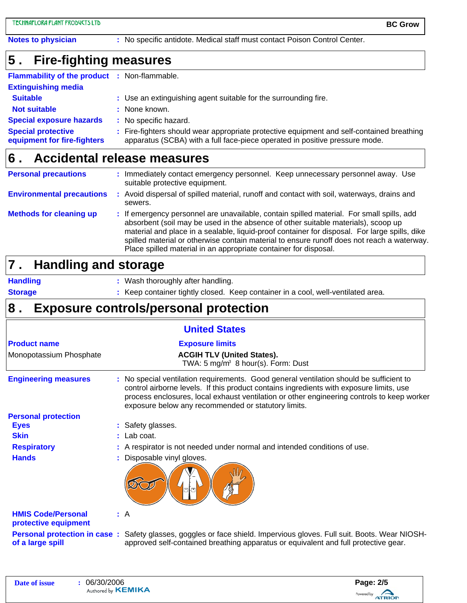**Notes to physician :** No specific antidote. Medical staff must contact Poison Control Center.

#### **Fire-fighting measures 5 .**

| <b>Flammability of the product : Non-flammable.</b>      |                                                                                                                                                                          |
|----------------------------------------------------------|--------------------------------------------------------------------------------------------------------------------------------------------------------------------------|
| <b>Extinguishing media</b>                               |                                                                                                                                                                          |
| <b>Suitable</b>                                          | : Use an extinguishing agent suitable for the surrounding fire.                                                                                                          |
| <b>Not suitable</b>                                      | : None known.                                                                                                                                                            |
| <b>Special exposure hazards</b>                          | : No specific hazard.                                                                                                                                                    |
| <b>Special protective</b><br>equipment for fire-fighters | : Fire-fighters should wear appropriate protective equipment and self-contained breathing<br>apparatus (SCBA) with a full face-piece operated in positive pressure mode. |

#### **Accidental release measures 6 .**

| <b>Personal precautions</b>      | : Immediately contact emergency personnel. Keep unnecessary personnel away. Use<br>suitable protective equipment.                                                                                                                                                                                                                                                                                                                                 |
|----------------------------------|---------------------------------------------------------------------------------------------------------------------------------------------------------------------------------------------------------------------------------------------------------------------------------------------------------------------------------------------------------------------------------------------------------------------------------------------------|
| <b>Environmental precautions</b> | : Avoid dispersal of spilled material, runoff and contact with soil, waterways, drains and<br>sewers.                                                                                                                                                                                                                                                                                                                                             |
| <b>Methods for cleaning up</b>   | : If emergency personnel are unavailable, contain spilled material. For small spills, add<br>absorbent (soil may be used in the absence of other suitable materials), scoop up<br>material and place in a sealable, liquid-proof container for disposal. For large spills, dike<br>spilled material or otherwise contain material to ensure runoff does not reach a waterway.<br>Place spilled material in an appropriate container for disposal. |

#### **Handling and storage 7 .**

**Handling Storage**

- Wash thoroughly after handling. **:**
- **:** Keep container tightly closed. Keep container in a cool, well-ventilated area.

#### **Exposure controls/personal protection 8 .**

|                                                   | <b>United States</b>                                                                                                                                                                                                                                                                                                                    |
|---------------------------------------------------|-----------------------------------------------------------------------------------------------------------------------------------------------------------------------------------------------------------------------------------------------------------------------------------------------------------------------------------------|
| <b>Product name</b>                               | <b>Exposure limits</b>                                                                                                                                                                                                                                                                                                                  |
| Monopotassium Phosphate                           | <b>ACGIH TLV (United States).</b><br>TWA: 5 mg/m <sup>3</sup> 8 hour(s). Form: Dust                                                                                                                                                                                                                                                     |
| <b>Engineering measures</b>                       | : No special ventilation requirements. Good general ventilation should be sufficient to<br>control airborne levels. If this product contains ingredients with exposure limits, use<br>process enclosures, local exhaust ventilation or other engineering controls to keep worker<br>exposure below any recommended or statutory limits. |
| <b>Personal protection</b>                        |                                                                                                                                                                                                                                                                                                                                         |
| <b>Eyes</b>                                       | : Safety glasses.                                                                                                                                                                                                                                                                                                                       |
| <b>Skin</b>                                       | $:$ Lab coat.                                                                                                                                                                                                                                                                                                                           |
| <b>Respiratory</b>                                | : A respirator is not needed under normal and intended conditions of use.                                                                                                                                                                                                                                                               |
| <b>Hands</b>                                      | : Disposable vinyl gloves.                                                                                                                                                                                                                                                                                                              |
|                                                   |                                                                                                                                                                                                                                                                                                                                         |
| <b>HMIS Code/Personal</b><br>protective equipment | : A                                                                                                                                                                                                                                                                                                                                     |
| of a large spill                                  | <b>Personal protection in case:</b> Safety glasses, goggles or face shield. Impervious gloves. Full suit. Boots. Wear NIOSH-<br>approved self-contained breathing apparatus or equivalent and full protective gear.                                                                                                                     |

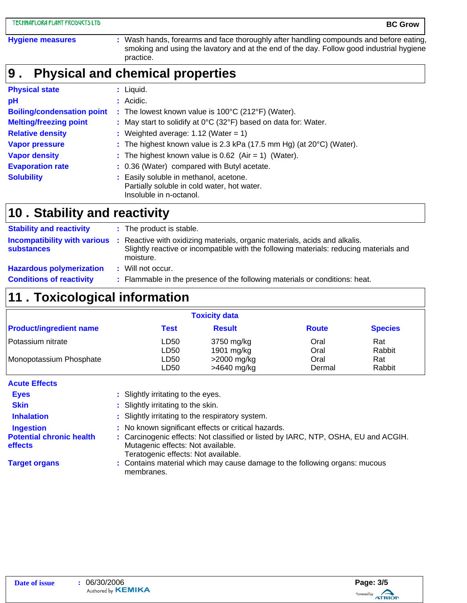#### **Physical and chemical properties 9 .**

| <b>Physical state</b>             | $:$ Liquid.                                                                                                      |
|-----------------------------------|------------------------------------------------------------------------------------------------------------------|
| pH                                | : Acidic.                                                                                                        |
| <b>Boiling/condensation point</b> | : The lowest known value is $100^{\circ}$ C (212 $^{\circ}$ F) (Water).                                          |
| <b>Melting/freezing point</b>     | : May start to solidify at 0°C (32°F) based on data for: Water.                                                  |
| <b>Relative density</b>           | : Weighted average: $1.12$ (Water = 1)                                                                           |
| <b>Vapor pressure</b>             | : The highest known value is 2.3 kPa $(17.5 \text{ mm Hg})$ (at $20^{\circ}$ C) (Water).                         |
| <b>Vapor density</b>              | : The highest known value is $0.62$ (Air = 1) (Water).                                                           |
| <b>Evaporation rate</b>           | : 0.36 (Water) compared with Butyl acetate.                                                                      |
| <b>Solubility</b>                 | : Easily soluble in methanol, acetone.<br>Partially soluble in cold water, hot water.<br>Insoluble in n-octanol. |

### **Stability and reactivity 10 .**

| <b>Stability and reactivity</b> | : The product is stable.                                                                                                                                                                                              |
|---------------------------------|-----------------------------------------------------------------------------------------------------------------------------------------------------------------------------------------------------------------------|
| substances                      | <b>Incompatibility with various</b> : Reactive with oxidizing materials, organic materials, acids and alkalis.<br>Slightly reactive or incompatible with the following materials: reducing materials and<br>moisture. |
| <b>Hazardous polymerization</b> | : Will not occur.                                                                                                                                                                                                     |
| <b>Conditions of reactivity</b> | : Flammable in the presence of the following materials or conditions: heat.                                                                                                                                           |

### **Toxicological information 11 .**

| <b>Toxicity data</b>           |                  |               |              |                |
|--------------------------------|------------------|---------------|--------------|----------------|
| <b>Product/ingredient name</b> | <b>Test</b>      | <b>Result</b> | <b>Route</b> | <b>Species</b> |
| Potassium nitrate              | LD50             | 3750 mg/kg    | Oral         | Rat            |
|                                | LD <sub>50</sub> | 1901 $mg/kg$  | Oral         | Rabbit         |
| Monopotassium Phosphate        | LD50             | $>2000$ mg/kg | Oral         | Rat            |
|                                | LD50             | >4640 mg/kg   | Dermal       | Rabbit         |

### **Acute Effects**

| <b>Eyes</b>                                | : Slightly irritating to the eyes.                                                                                              |
|--------------------------------------------|---------------------------------------------------------------------------------------------------------------------------------|
| <b>Skin</b>                                | : Slightly irritating to the skin.                                                                                              |
| <b>Inhalation</b>                          | : Slightly irritating to the respiratory system.                                                                                |
| <b>Ingestion</b>                           | : No known significant effects or critical hazards.                                                                             |
| <b>Potential chronic health</b><br>effects | : Carcinogenic effects: Not classified or listed by IARC, NTP, OSHA, EU and ACGIH.<br>Mutagenic effects: Not available.         |
| <b>Target organs</b>                       | Teratogenic effects: Not available.<br>: Contains material which may cause damage to the following organs: mucous<br>membranes. |

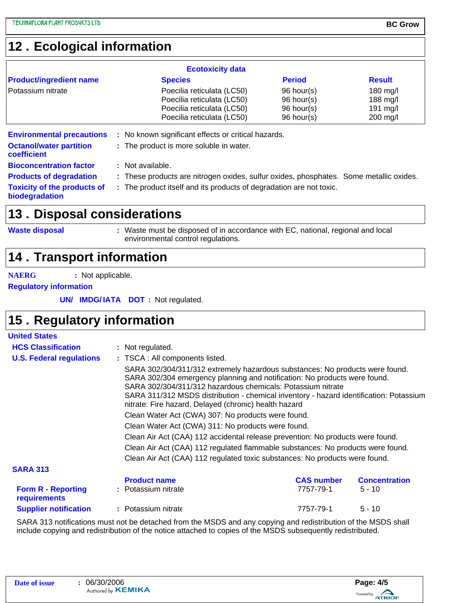### **Ecological information 12 .**

|                                                                                   | <b>Ecotoxicity data</b>                                                                        |               |                    |
|-----------------------------------------------------------------------------------|------------------------------------------------------------------------------------------------|---------------|--------------------|
| <b>Product/ingredient name</b>                                                    | <b>Species</b>                                                                                 | <b>Period</b> | <b>Result</b>      |
| Potassium nitrate                                                                 | Poecilia reticulata (LC50)                                                                     | 96 hour(s)    | $180 \text{ mg/l}$ |
|                                                                                   | Poecilia reticulata (LC50)                                                                     | 96 hour(s)    | 188 mg/l           |
|                                                                                   | Poecilia reticulata (LC50)                                                                     | 96 hour(s)    | 191 mg/l           |
|                                                                                   | Poecilia reticulata (LC50)                                                                     | 96 hour(s)    | $200$ mg/l         |
| <b>Environmental precautions</b><br><b>Octanol/water partition</b><br>coefficient | : No known significant effects or critical hazards.<br>: The product is more soluble in water. |               |                    |
| <b>Bioconcentration factor</b>                                                    | : Not available.                                                                               |               |                    |
| <b>Products of degradation</b>                                                    | : These products are nitrogen oxides, sulfur oxides, phosphates. Some metallic oxides.         |               |                    |
| <b>Toxicity of the products of</b><br>biodegradation                              | : The product itself and its products of degradation are not toxic.                            |               |                    |

### **13. Disposal considerations**

**Waste disposal**

Waste must be disposed of in accordance with EC, national, regional and local **:** environmental control regulations.

### **14 . Transport information**

**NAERG :** Not applicable.

**Regulatory information**

**UN/ IMDG/IATA DOT**: Not regulated.

### **Regulatory information 15 .**

| <b>United States</b>                      |                                                                                 |                                                                                                                                                                                                                                                                                                                                                                             |                      |  |  |  |  |
|-------------------------------------------|---------------------------------------------------------------------------------|-----------------------------------------------------------------------------------------------------------------------------------------------------------------------------------------------------------------------------------------------------------------------------------------------------------------------------------------------------------------------------|----------------------|--|--|--|--|
| <b>HCS Classification</b>                 | : Not regulated.                                                                |                                                                                                                                                                                                                                                                                                                                                                             |                      |  |  |  |  |
| <b>U.S. Federal regulations</b>           | : TSCA : All components listed.                                                 |                                                                                                                                                                                                                                                                                                                                                                             |                      |  |  |  |  |
|                                           |                                                                                 | SARA 302/304/311/312 extremely hazardous substances: No products were found.<br>SARA 302/304 emergency planning and notification: No products were found.<br>SARA 302/304/311/312 hazardous chemicals: Potassium nitrate<br>SARA 311/312 MSDS distribution - chemical inventory - hazard identification: Potassium<br>nitrate: Fire hazard, Delayed (chronic) health hazard |                      |  |  |  |  |
|                                           |                                                                                 | Clean Water Act (CWA) 307: No products were found.                                                                                                                                                                                                                                                                                                                          |                      |  |  |  |  |
|                                           | Clean Water Act (CWA) 311: No products were found.                              |                                                                                                                                                                                                                                                                                                                                                                             |                      |  |  |  |  |
|                                           |                                                                                 | Clean Air Act (CAA) 112 accidental release prevention: No products were found.                                                                                                                                                                                                                                                                                              |                      |  |  |  |  |
|                                           | Clean Air Act (CAA) 112 regulated flammable substances: No products were found. |                                                                                                                                                                                                                                                                                                                                                                             |                      |  |  |  |  |
|                                           | Clean Air Act (CAA) 112 regulated toxic substances: No products were found.     |                                                                                                                                                                                                                                                                                                                                                                             |                      |  |  |  |  |
| <b>SARA 313</b>                           |                                                                                 |                                                                                                                                                                                                                                                                                                                                                                             |                      |  |  |  |  |
|                                           | <b>Product name</b>                                                             | <b>CAS number</b>                                                                                                                                                                                                                                                                                                                                                           | <b>Concentration</b> |  |  |  |  |
| <b>Form R - Reporting</b><br>requirements | : Potassium nitrate                                                             | 7757-79-1                                                                                                                                                                                                                                                                                                                                                                   | $5 - 10$             |  |  |  |  |
| <b>Supplier notification</b>              | : Potassium nitrate                                                             | 7757-79-1                                                                                                                                                                                                                                                                                                                                                                   | $5 - 10$             |  |  |  |  |
|                                           |                                                                                 |                                                                                                                                                                                                                                                                                                                                                                             |                      |  |  |  |  |

SARA 313 notifications must not be detached from the MSDS and any copying and redistribution of the MSDS shall include copying and redistribution of the notice attached to copies of the MSDS subsequently redistributed.